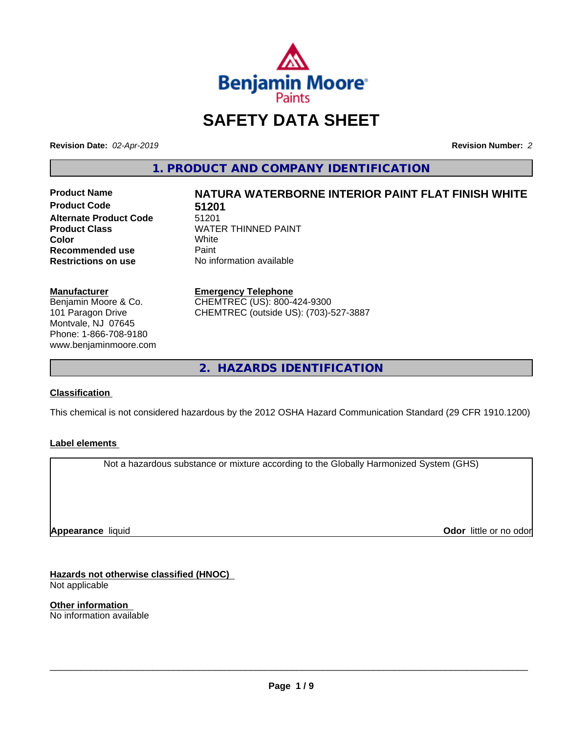

# **SAFETY DATA SHEET**

**Revision Date:** *02-Apr-2019* **Revision Number:** *2*

**1. PRODUCT AND COMPANY IDENTIFICATION**

**Product Code 51201 Alternate Product Code** 51201<br>**Product Class** WATE **Color** White White **Recommended use** Paint<br> **Restrictions on use** No inf

# **Product Name NATURA WATERBORNE INTERIOR PAINT FLAT FINISH WHITE**

**WATER THINNED PAINT**<br>White **No information available** 

**Manufacturer** Benjamin Moore & Co.

101 Paragon Drive Montvale, NJ 07645 Phone: 1-866-708-9180 www.benjaminmoore.com

#### **Emergency Telephone**

CHEMTREC (US): 800-424-9300 CHEMTREC (outside US): (703)-527-3887

**2. HAZARDS IDENTIFICATION**

# **Classification**

This chemical is not considered hazardous by the 2012 OSHA Hazard Communication Standard (29 CFR 1910.1200)

#### **Label elements**

Not a hazardous substance or mixture according to the Globally Harmonized System (GHS)

**Appearance** liquid

**Odor** little or no odor

**Hazards not otherwise classified (HNOC)** Not applicable

**Other information** No information available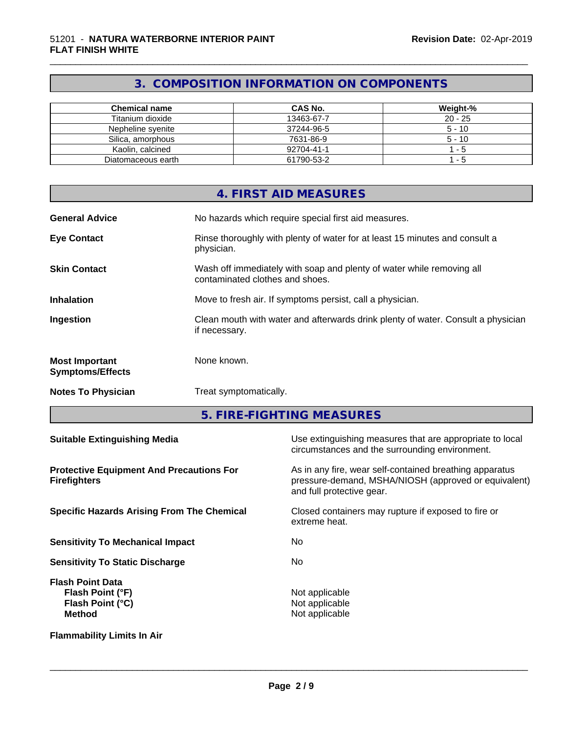# **3. COMPOSITION INFORMATION ON COMPONENTS**

\_\_\_\_\_\_\_\_\_\_\_\_\_\_\_\_\_\_\_\_\_\_\_\_\_\_\_\_\_\_\_\_\_\_\_\_\_\_\_\_\_\_\_\_\_\_\_\_\_\_\_\_\_\_\_\_\_\_\_\_\_\_\_\_\_\_\_\_\_\_\_\_\_\_\_\_\_\_\_\_\_\_\_\_\_\_\_\_\_\_\_\_\_

| <b>Chemical name</b> | CAS No.    | Weight-%  |
|----------------------|------------|-----------|
| Titanium dioxide     | 13463-67-7 | $20 - 25$ |
| Nepheline svenite    | 37244-96-5 | $5 - 10$  |
| Silica, amorphous    | 7631-86-9  | $5 - 10$  |
| Kaolin, calcined     | 92704-41-1 | - 5       |
| Diatomaceous earth   | 61790-53-2 | - 5       |

|                                                  | 4. FIRST AID MEASURES                                                                                    |
|--------------------------------------------------|----------------------------------------------------------------------------------------------------------|
| <b>General Advice</b>                            | No hazards which require special first aid measures.                                                     |
| <b>Eye Contact</b>                               | Rinse thoroughly with plenty of water for at least 15 minutes and consult a<br>physician.                |
| <b>Skin Contact</b>                              | Wash off immediately with soap and plenty of water while removing all<br>contaminated clothes and shoes. |
| <b>Inhalation</b>                                | Move to fresh air. If symptoms persist, call a physician.                                                |
| Ingestion                                        | Clean mouth with water and afterwards drink plenty of water. Consult a physician<br>if necessary.        |
| <b>Most Important</b><br><b>Symptoms/Effects</b> | None known.                                                                                              |
| <b>Notes To Physician</b>                        | Treat symptomatically.                                                                                   |

**5. FIRE-FIGHTING MEASURES**

| <b>Suitable Extinguishing Media</b>                                                     | Use extinguishing measures that are appropriate to local<br>circumstances and the surrounding environment.                                   |
|-----------------------------------------------------------------------------------------|----------------------------------------------------------------------------------------------------------------------------------------------|
| <b>Protective Equipment And Precautions For</b><br><b>Firefighters</b>                  | As in any fire, wear self-contained breathing apparatus<br>pressure-demand, MSHA/NIOSH (approved or equivalent)<br>and full protective gear. |
| <b>Specific Hazards Arising From The Chemical</b>                                       | Closed containers may rupture if exposed to fire or<br>extreme heat.                                                                         |
| <b>Sensitivity To Mechanical Impact</b>                                                 | No.                                                                                                                                          |
| <b>Sensitivity To Static Discharge</b>                                                  | No.                                                                                                                                          |
| <b>Flash Point Data</b><br>Flash Point (°F)<br><b>Flash Point (°C)</b><br><b>Method</b> | Not applicable<br>Not applicable<br>Not applicable                                                                                           |
| <b>Flammability Limits In Air</b>                                                       |                                                                                                                                              |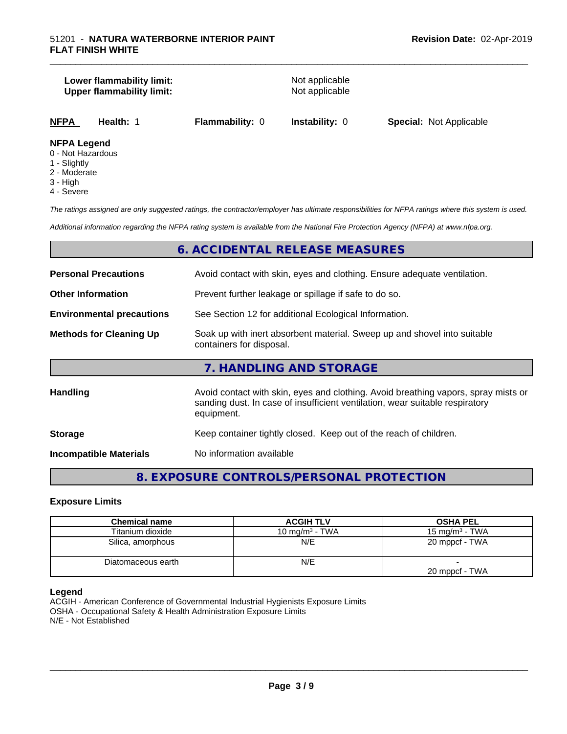#### **Lower flammability limit:**<br>
Upper flammability limit:<br>
Upper flammability limit:<br>
Not applicable **Upper flammability limit:**

\_\_\_\_\_\_\_\_\_\_\_\_\_\_\_\_\_\_\_\_\_\_\_\_\_\_\_\_\_\_\_\_\_\_\_\_\_\_\_\_\_\_\_\_\_\_\_\_\_\_\_\_\_\_\_\_\_\_\_\_\_\_\_\_\_\_\_\_\_\_\_\_\_\_\_\_\_\_\_\_\_\_\_\_\_\_\_\_\_\_\_\_\_

**NFPA Health:** 1 **Flammability:** 0 **Instability:** 0 **Special:** Not Applicable

#### **NFPA Legend**

- 0 Not Hazardous
- 1 Slightly
- 2 Moderate
- 3 High
- 4 Severe

*The ratings assigned are only suggested ratings, the contractor/employer has ultimate responsibilities for NFPA ratings where this system is used.*

*Additional information regarding the NFPA rating system is available from the National Fire Protection Agency (NFPA) at www.nfpa.org.*

# **6. ACCIDENTAL RELEASE MEASURES**

| <b>Personal Precautions</b>      | Avoid contact with skin, eyes and clothing. Ensure adequate ventilation.                                                                                                         |
|----------------------------------|----------------------------------------------------------------------------------------------------------------------------------------------------------------------------------|
| <b>Other Information</b>         | Prevent further leakage or spillage if safe to do so.                                                                                                                            |
| <b>Environmental precautions</b> | See Section 12 for additional Ecological Information.                                                                                                                            |
| <b>Methods for Cleaning Up</b>   | Soak up with inert absorbent material. Sweep up and shovel into suitable<br>containers for disposal.                                                                             |
|                                  | 7. HANDLING AND STORAGE                                                                                                                                                          |
| <b>Handling</b>                  | Avoid contact with skin, eyes and clothing. Avoid breathing vapors, spray mists or<br>sanding dust. In case of insufficient ventilation, wear suitable respiratory<br>equipment. |
| <b>Storage</b>                   | Keep container tightly closed. Keep out of the reach of children.                                                                                                                |
| <b>Incompatible Materials</b>    | No information available                                                                                                                                                         |

# **8. EXPOSURE CONTROLS/PERSONAL PROTECTION**

#### **Exposure Limits**

| <b>Chemical name</b> | <b>ACGIH TLV</b>  | <b>OSHA PEL</b>   |
|----------------------|-------------------|-------------------|
| Titanium dioxide     | 10 mg/m $3$ - TWA | 15 mg/m $3$ - TWA |
| Silica, amorphous    | N/E               | 20 mppcf - TWA    |
| Diatomaceous earth   | N/E               | 20 mppcf - TWA    |

#### **Legend**

ACGIH - American Conference of Governmental Industrial Hygienists Exposure Limits OSHA - Occupational Safety & Health Administration Exposure Limits N/E - Not Established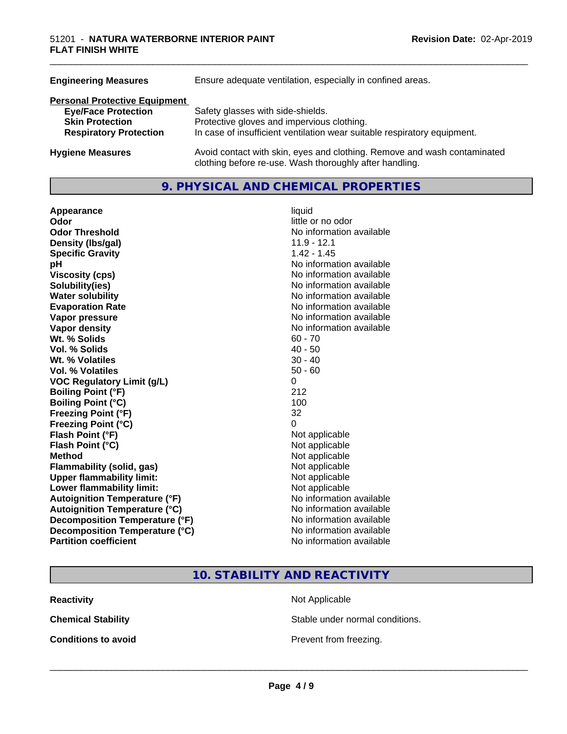| <b>Engineering Measures</b>          | Ensure adequate ventilation, especially in confined areas.                                                                          |
|--------------------------------------|-------------------------------------------------------------------------------------------------------------------------------------|
| <b>Personal Protective Equipment</b> |                                                                                                                                     |
| <b>Eye/Face Protection</b>           | Safety glasses with side-shields.                                                                                                   |
| <b>Skin Protection</b>               | Protective gloves and impervious clothing.                                                                                          |
| <b>Respiratory Protection</b>        | In case of insufficient ventilation wear suitable respiratory equipment.                                                            |
| <b>Hygiene Measures</b>              | Avoid contact with skin, eyes and clothing. Remove and wash contaminated<br>clothing before re-use. Wash thoroughly after handling. |

# **9. PHYSICAL AND CHEMICAL PROPERTIES**

| Appearance                           | liquid                   |
|--------------------------------------|--------------------------|
| Odor                                 | little or no odor        |
| <b>Odor Threshold</b>                | No information available |
| Density (Ibs/gal)                    | $11.9 - 12.1$            |
| <b>Specific Gravity</b>              | $1.42 - 1.45$            |
| рH                                   | No information available |
| <b>Viscosity (cps)</b>               | No information available |
| Solubility(ies)                      | No information available |
| <b>Water solubility</b>              | No information available |
| <b>Evaporation Rate</b>              | No information available |
| Vapor pressure                       | No information available |
| Vapor density                        | No information available |
| Wt. % Solids                         | $60 - 70$                |
| Vol. % Solids                        | $40 - 50$                |
| Wt. % Volatiles                      | $30 - 40$                |
| <b>Vol. % Volatiles</b>              | $50 - 60$                |
| <b>VOC Regulatory Limit (g/L)</b>    | 0                        |
| <b>Boiling Point (°F)</b>            | 212                      |
| <b>Boiling Point (°C)</b>            | 100                      |
| <b>Freezing Point (°F)</b>           | 32                       |
| <b>Freezing Point (°C)</b>           | 0                        |
| Flash Point (°F)                     | Not applicable           |
| Flash Point (°C)                     | Not applicable           |
| <b>Method</b>                        | Not applicable           |
| <b>Flammability (solid, gas)</b>     | Not applicable           |
| <b>Upper flammability limit:</b>     | Not applicable           |
| Lower flammability limit:            | Not applicable           |
| <b>Autoignition Temperature (°F)</b> | No information available |
| <b>Autoignition Temperature (°C)</b> | No information available |
| Decomposition Temperature (°F)       | No information available |
| Decomposition Temperature (°C)       | No information available |
| <b>Partition coefficient</b>         | No information available |

# little or no odor **No information available No information available Viscosity (cps)** No information available **No information available No information available Evaporation Rate** No information available **No information available No information available**<br>60 - 70 **Not applicable Not applicable** Not applicable **Flammability (solid, gas)** Not applicable **Not applicable Not applicable No information available Autoignition Temperature (°C)** No information available **No information available No information available**

# **10. STABILITY AND REACTIVITY**

| <b>Reactivity</b> |
|-------------------|
|                   |

**Not Applicable** 

**Chemical Stability Stable under normal conditions.** 

**Conditions to avoid Conditions to avoid Prevent from freezing.**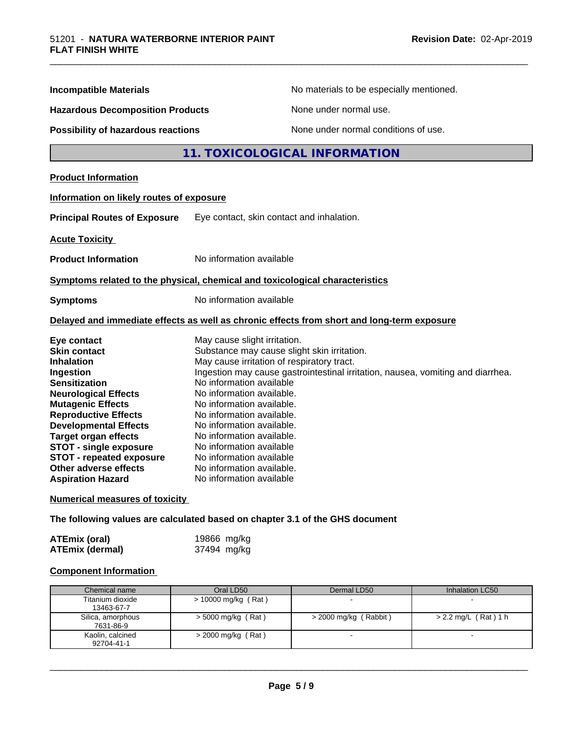| <b>Incompatible Materials</b>                                                                                                                                                                                                                                                                                             | No materials to be especially mentioned.                                                                                                                                                                                                                                                                                                                                                                                                                                       |
|---------------------------------------------------------------------------------------------------------------------------------------------------------------------------------------------------------------------------------------------------------------------------------------------------------------------------|--------------------------------------------------------------------------------------------------------------------------------------------------------------------------------------------------------------------------------------------------------------------------------------------------------------------------------------------------------------------------------------------------------------------------------------------------------------------------------|
| <b>Hazardous Decomposition Products</b>                                                                                                                                                                                                                                                                                   | None under normal use.                                                                                                                                                                                                                                                                                                                                                                                                                                                         |
| Possibility of hazardous reactions                                                                                                                                                                                                                                                                                        | None under normal conditions of use.                                                                                                                                                                                                                                                                                                                                                                                                                                           |
|                                                                                                                                                                                                                                                                                                                           | 11. TOXICOLOGICAL INFORMATION                                                                                                                                                                                                                                                                                                                                                                                                                                                  |
| <b>Product Information</b>                                                                                                                                                                                                                                                                                                |                                                                                                                                                                                                                                                                                                                                                                                                                                                                                |
| Information on likely routes of exposure                                                                                                                                                                                                                                                                                  |                                                                                                                                                                                                                                                                                                                                                                                                                                                                                |
| <b>Principal Routes of Exposure</b>                                                                                                                                                                                                                                                                                       | Eye contact, skin contact and inhalation.                                                                                                                                                                                                                                                                                                                                                                                                                                      |
| <b>Acute Toxicity</b>                                                                                                                                                                                                                                                                                                     |                                                                                                                                                                                                                                                                                                                                                                                                                                                                                |
| <b>Product Information</b>                                                                                                                                                                                                                                                                                                | No information available                                                                                                                                                                                                                                                                                                                                                                                                                                                       |
|                                                                                                                                                                                                                                                                                                                           | Symptoms related to the physical, chemical and toxicological characteristics                                                                                                                                                                                                                                                                                                                                                                                                   |
| <b>Symptoms</b>                                                                                                                                                                                                                                                                                                           | No information available                                                                                                                                                                                                                                                                                                                                                                                                                                                       |
|                                                                                                                                                                                                                                                                                                                           | Delayed and immediate effects as well as chronic effects from short and long-term exposure                                                                                                                                                                                                                                                                                                                                                                                     |
| Eye contact<br><b>Skin contact</b><br><b>Inhalation</b><br>Ingestion<br><b>Sensitization</b><br><b>Neurological Effects</b><br><b>Mutagenic Effects</b><br><b>Reproductive Effects</b><br><b>Developmental Effects</b><br><b>Target organ effects</b><br><b>STOT - single exposure</b><br><b>STOT - repeated exposure</b> | May cause slight irritation.<br>Substance may cause slight skin irritation.<br>May cause irritation of respiratory tract.<br>Ingestion may cause gastrointestinal irritation, nausea, vomiting and diarrhea.<br>No information available<br>No information available.<br>No information available.<br>No information available.<br>No information available.<br>No information available.<br>No information available<br>No information available<br>No information available. |

\_\_\_\_\_\_\_\_\_\_\_\_\_\_\_\_\_\_\_\_\_\_\_\_\_\_\_\_\_\_\_\_\_\_\_\_\_\_\_\_\_\_\_\_\_\_\_\_\_\_\_\_\_\_\_\_\_\_\_\_\_\_\_\_\_\_\_\_\_\_\_\_\_\_\_\_\_\_\_\_\_\_\_\_\_\_\_\_\_\_\_\_\_

#### **Numerical measures of toxicity**

**The following values are calculated based on chapter 3.1 of the GHS document**

| <b>ATEmix (oral)</b>   | 19866 mg/kg |
|------------------------|-------------|
| <b>ATEmix (dermal)</b> | 37494 mg/kg |

#### **Component Information**

| Chemical name                  | Oral LD50             | Dermal LD50           | Inhalation LC50        |
|--------------------------------|-----------------------|-----------------------|------------------------|
| Titanium dioxide<br>13463-67-7 | $> 10000$ mg/kg (Rat) |                       |                        |
| Silica, amorphous<br>7631-86-9 | $>$ 5000 mg/kg (Rat)  | > 2000 mg/kg (Rabbit) | $> 2.2$ mg/L (Rat) 1 h |
| Kaolin, calcined<br>92704-41-1 | $>$ 2000 mg/kg (Rat)  |                       |                        |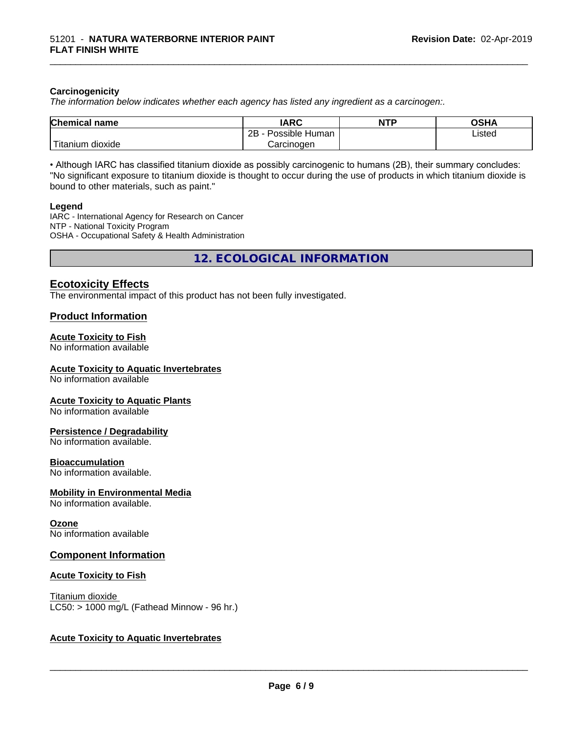#### **Carcinogenicity**

*The information below indicateswhether each agency has listed any ingredient as a carcinogen:.*

| <b>Chemical name</b>                    | <b>IARC</b>               | <b>NTP</b> | <b>OSHA</b> |
|-----------------------------------------|---------------------------|------------|-------------|
|                                         | .<br>2B<br>Possible Human |            | Listed      |
| بالمواقعة المراد<br>dioxide<br>Titanium | Carcinogen                |            |             |

\_\_\_\_\_\_\_\_\_\_\_\_\_\_\_\_\_\_\_\_\_\_\_\_\_\_\_\_\_\_\_\_\_\_\_\_\_\_\_\_\_\_\_\_\_\_\_\_\_\_\_\_\_\_\_\_\_\_\_\_\_\_\_\_\_\_\_\_\_\_\_\_\_\_\_\_\_\_\_\_\_\_\_\_\_\_\_\_\_\_\_\_\_

• Although IARC has classified titanium dioxide as possibly carcinogenic to humans (2B), their summary concludes: "No significant exposure to titanium dioxide is thought to occur during the use of products in which titanium dioxide is bound to other materials, such as paint."

#### **Legend**

IARC - International Agency for Research on Cancer NTP - National Toxicity Program OSHA - Occupational Safety & Health Administration

**12. ECOLOGICAL INFORMATION**

# **Ecotoxicity Effects**

The environmental impact of this product has not been fully investigated.

#### **Product Information**

#### **Acute Toxicity to Fish**

No information available

#### **Acute Toxicity to Aquatic Invertebrates**

No information available

#### **Acute Toxicity to Aquatic Plants**

No information available

#### **Persistence / Degradability**

No information available.

#### **Bioaccumulation**

No information available.

#### **Mobility in Environmental Media**

No information available.

#### **Ozone**

No information available

#### **Component Information**

#### **Acute Toxicity to Fish**

Titanium dioxide  $LC50:$  > 1000 mg/L (Fathead Minnow - 96 hr.)

#### **Acute Toxicity to Aquatic Invertebrates**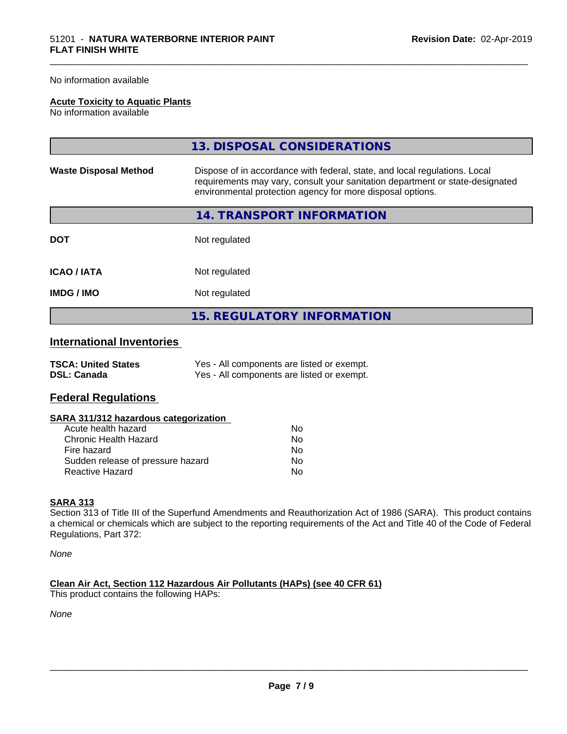#### No information available

#### **Acute Toxicity to Aquatic Plants**

No information available

|                              | 13. DISPOSAL CONSIDERATIONS                                                                                                                                                                                               |
|------------------------------|---------------------------------------------------------------------------------------------------------------------------------------------------------------------------------------------------------------------------|
| <b>Waste Disposal Method</b> | Dispose of in accordance with federal, state, and local regulations. Local<br>requirements may vary, consult your sanitation department or state-designated<br>environmental protection agency for more disposal options. |
|                              | 14. TRANSPORT INFORMATION                                                                                                                                                                                                 |
| <b>DOT</b>                   | Not regulated                                                                                                                                                                                                             |
| <b>ICAO/IATA</b>             | Not regulated                                                                                                                                                                                                             |
| <b>IMDG/IMO</b>              | Not regulated                                                                                                                                                                                                             |
|                              | <b>15. REGULATORY INFORMATION</b>                                                                                                                                                                                         |

\_\_\_\_\_\_\_\_\_\_\_\_\_\_\_\_\_\_\_\_\_\_\_\_\_\_\_\_\_\_\_\_\_\_\_\_\_\_\_\_\_\_\_\_\_\_\_\_\_\_\_\_\_\_\_\_\_\_\_\_\_\_\_\_\_\_\_\_\_\_\_\_\_\_\_\_\_\_\_\_\_\_\_\_\_\_\_\_\_\_\_\_\_

# **International Inventories**

| <b>TSCA: United States</b> | Yes - All components are listed or exempt. |
|----------------------------|--------------------------------------------|
| <b>DSL: Canada</b>         | Yes - All components are listed or exempt. |

# **Federal Regulations**

| SARA 311/312 hazardous categorization |  |
|---------------------------------------|--|
|---------------------------------------|--|

| Acute health hazard               | N٥ |
|-----------------------------------|----|
| Chronic Health Hazard             | N٥ |
| Fire hazard                       | Nο |
| Sudden release of pressure hazard | N٥ |
| Reactive Hazard                   | N٥ |

#### **SARA 313**

Section 313 of Title III of the Superfund Amendments and Reauthorization Act of 1986 (SARA). This product contains a chemical or chemicals which are subject to the reporting requirements of the Act and Title 40 of the Code of Federal Regulations, Part 372:

*None*

**Clean Air Act,Section 112 Hazardous Air Pollutants (HAPs) (see 40 CFR 61)** This product contains the following HAPs:

*None*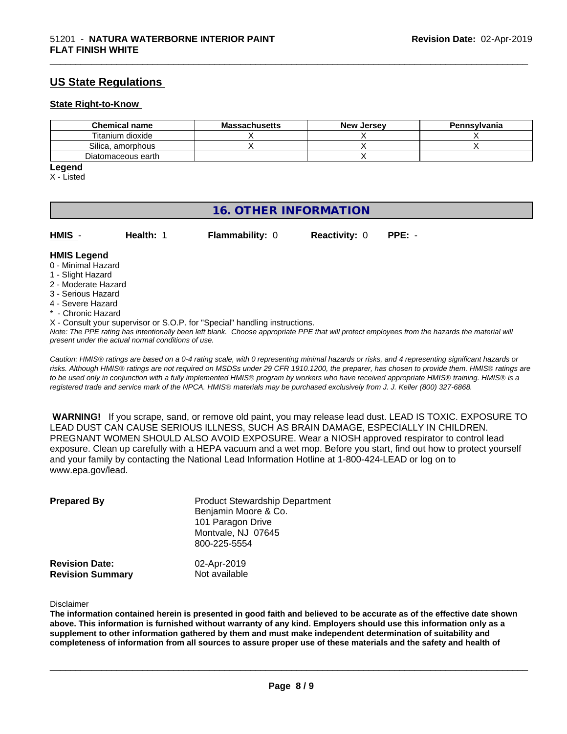# **US State Regulations**

#### **State Right-to-Know**

| <b>Chemical name</b> | <b>Massachusetts</b> | <b>New Jersey</b> | Pennsylvania |
|----------------------|----------------------|-------------------|--------------|
| Titanium dioxide     |                      |                   |              |
| Silica, amorphous    |                      |                   |              |
| Diatomaceous earth   |                      |                   |              |

\_\_\_\_\_\_\_\_\_\_\_\_\_\_\_\_\_\_\_\_\_\_\_\_\_\_\_\_\_\_\_\_\_\_\_\_\_\_\_\_\_\_\_\_\_\_\_\_\_\_\_\_\_\_\_\_\_\_\_\_\_\_\_\_\_\_\_\_\_\_\_\_\_\_\_\_\_\_\_\_\_\_\_\_\_\_\_\_\_\_\_\_\_

# **Legend**

X - Listed

# **16. OTHER INFORMATION**

| HMIS - | Health: 1 | <b>Flammability: 0</b> | <b>Reactivity: 0 PPE: -</b> |  |
|--------|-----------|------------------------|-----------------------------|--|
|        |           |                        |                             |  |

#### **HMIS Legend**

- 0 Minimal Hazard
- 1 Slight Hazard
- 2 Moderate Hazard
- 3 Serious Hazard
- 4 Severe Hazard
- \* Chronic Hazard
- X Consult your supervisor or S.O.P. for "Special" handling instructions.

*Note: The PPE rating has intentionally been left blank. Choose appropriate PPE that will protect employees from the hazards the material will present under the actual normal conditions of use.*

*Caution: HMISÒ ratings are based on a 0-4 rating scale, with 0 representing minimal hazards or risks, and 4 representing significant hazards or risks. Although HMISÒ ratings are not required on MSDSs under 29 CFR 1910.1200, the preparer, has chosen to provide them. HMISÒ ratings are to be used only in conjunction with a fully implemented HMISÒ program by workers who have received appropriate HMISÒ training. HMISÒ is a registered trade and service mark of the NPCA. HMISÒ materials may be purchased exclusively from J. J. Keller (800) 327-6868.*

 **WARNING!** If you scrape, sand, or remove old paint, you may release lead dust. LEAD IS TOXIC. EXPOSURE TO LEAD DUST CAN CAUSE SERIOUS ILLNESS, SUCH AS BRAIN DAMAGE, ESPECIALLY IN CHILDREN. PREGNANT WOMEN SHOULD ALSO AVOID EXPOSURE.Wear a NIOSH approved respirator to control lead exposure. Clean up carefully with a HEPA vacuum and a wet mop. Before you start, find out how to protect yourself and your family by contacting the National Lead Information Hotline at 1-800-424-LEAD or log on to www.epa.gov/lead.

| <b>Prepared By</b>                               | <b>Product Stewardship Department</b><br>Benjamin Moore & Co.<br>101 Paragon Drive<br>Montvale, NJ 07645<br>800-225-5554 |  |
|--------------------------------------------------|--------------------------------------------------------------------------------------------------------------------------|--|
| <b>Revision Date:</b><br><b>Revision Summary</b> | 02-Apr-2019<br>Not available                                                                                             |  |

Disclaimer

The information contained herein is presented in good faith and believed to be accurate as of the effective date shown above. This information is furnished without warranty of any kind. Employers should use this information only as a **supplement to other information gathered by them and must make independent determination of suitability and** completeness of information from all sources to assure proper use of these materials and the safety and health of